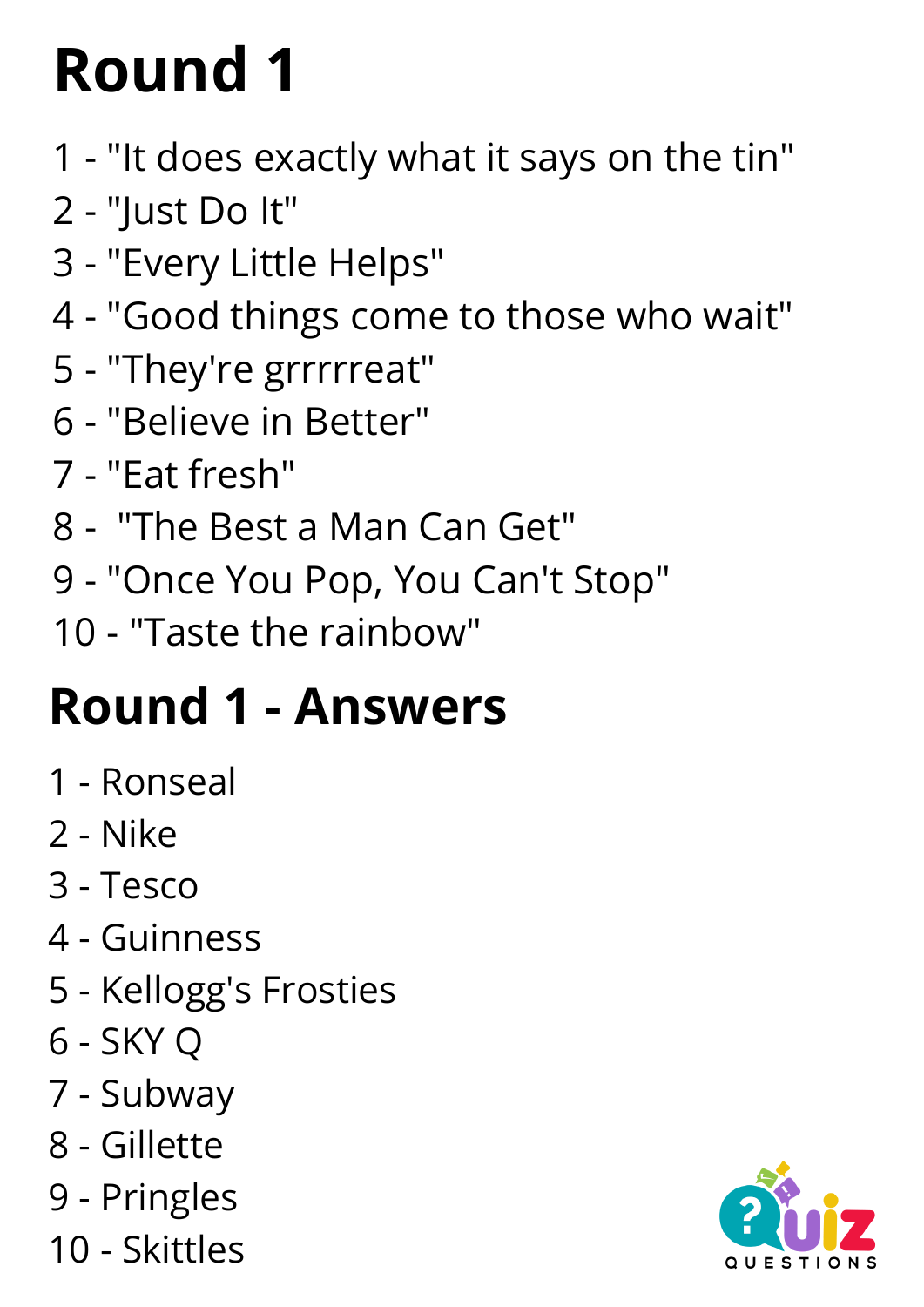- "It does exactly what it says on the tin"
- "Just Do It"
- "Every Little Helps"
- "Good things come to those who wait"
- "They're grrrrreat"
- "Believe in Better"
- "Eat fresh"
- "The Best a Man Can Get"
- ["Once](https://www.youtube.com/watch?v=77rKo-WdULY) You Pop, You Can't Stop["](https://www.youtube.com/watch?v=77rKo-WdULY)
- "Taste the rainbow"

#### **Round 1 - Answers**

- Ronseal
- Nike
- Tesco
- Guinness
- Kellogg's Frosties
- SKY Q
- Subway
- Gillette
- Pringles
- Skittles

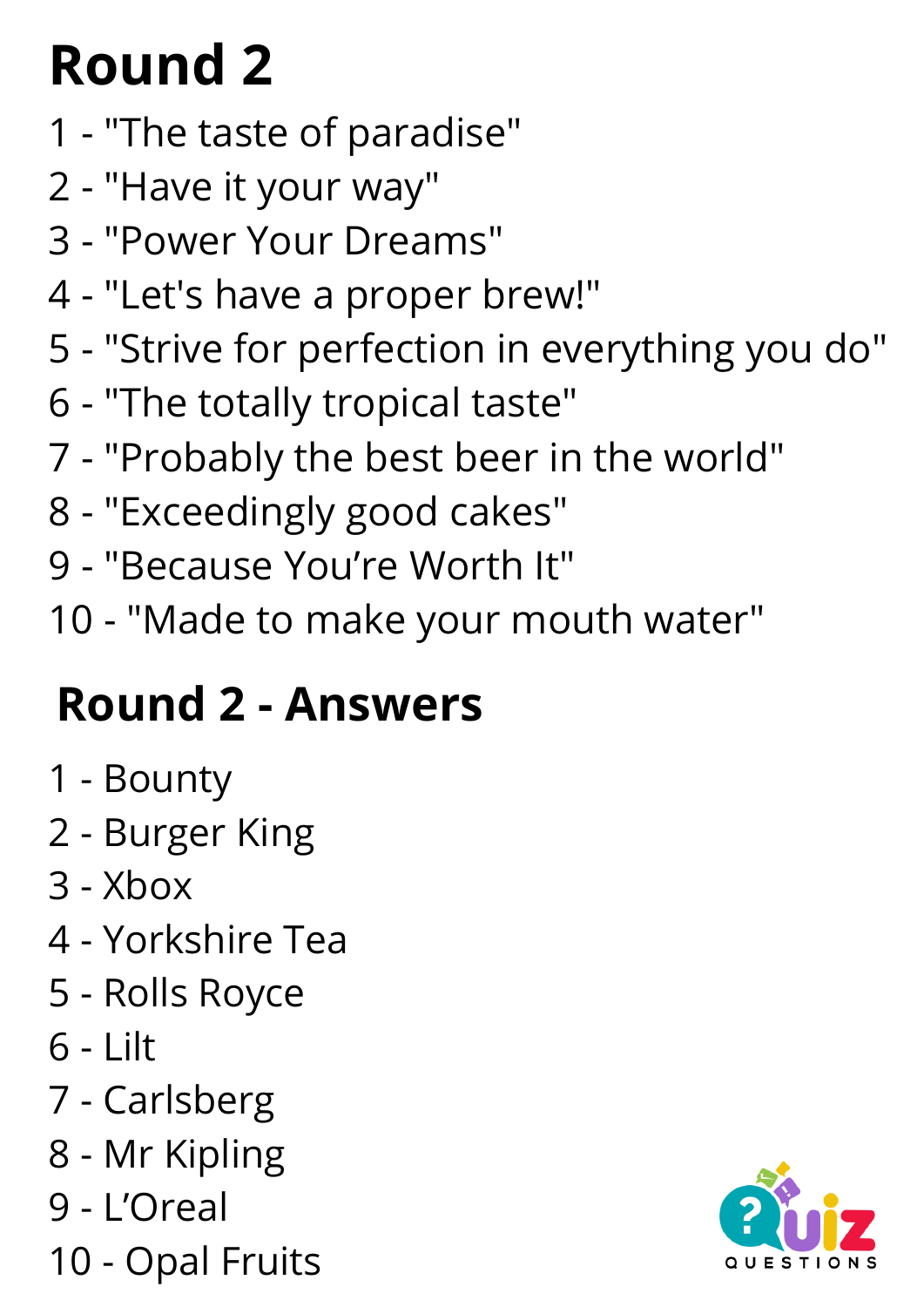- "The taste of paradise"
- "Have it your way"
- "Power Your Dreams"
- "Let's have a proper brew!"
- "Strive for perfection in everything you do"
- "The totally tropical taste"
- "Probably the best beer in the world"
- "Exceedingly good cakes"
- "Because You're Worth It"
- "Made to make your mouth water"

#### **Round 2 - Answers**

- Bounty
- Burger King
- Xbox
- Yorkshire Tea
- Rolls Royce
- Lilt
- Carlsberg
- Mr Kipling
- L'Oreal
- Opal Fruits

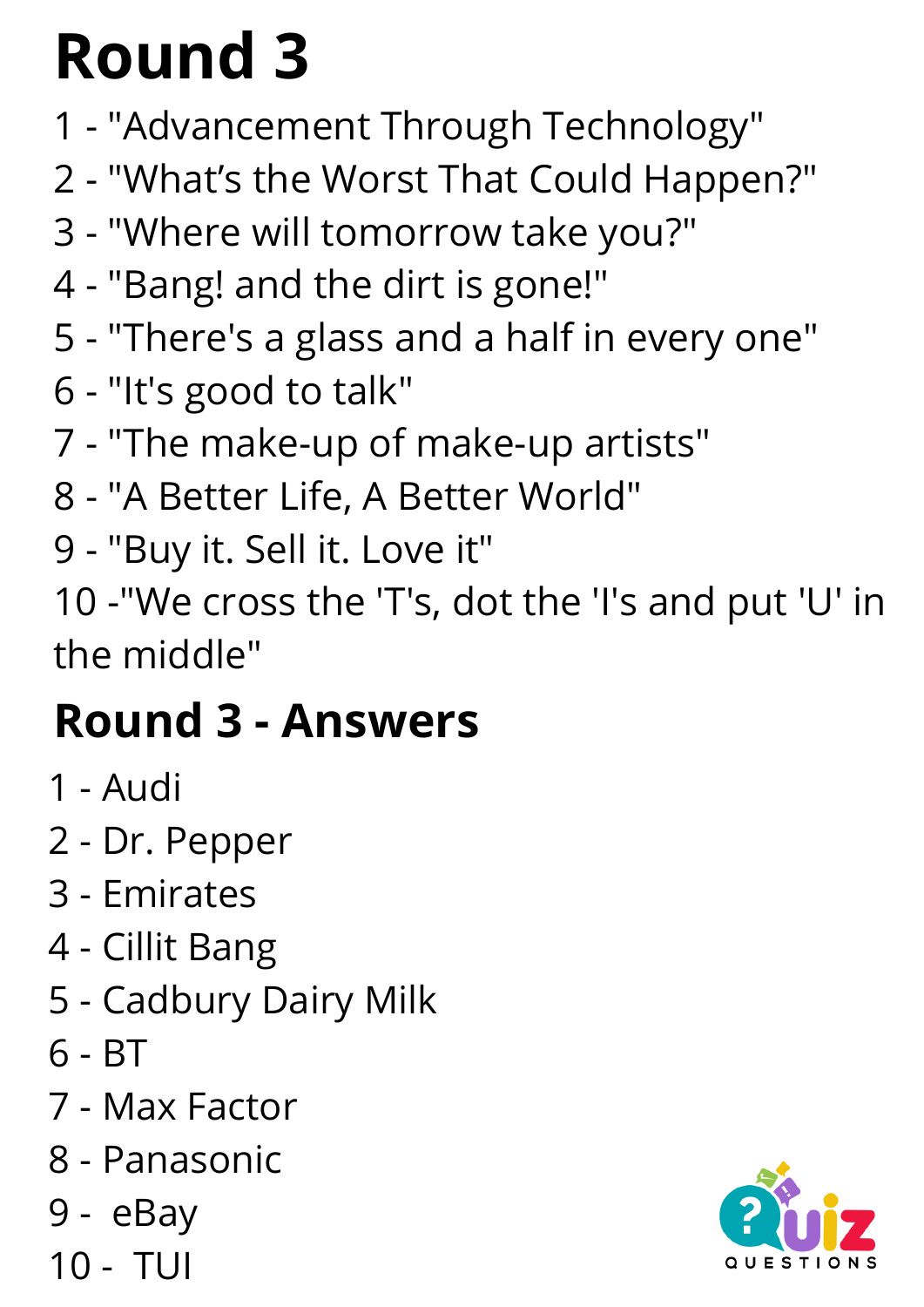- "Advancement Through Technology"
- "What's the Worst That Could Happen?"
- "Where will tomorrow take you?"
- "[Bang!](https://www.youtube.com/watch?v=rzP0JHseRNg) and the dirt is gone!"
- "There's a glass and a half in every one"
- "It's good to talk"
- "The make-up of make-up artists"
- "A Better Life, A Better World"
- "Buy it. Sell it. Love it"

 -"We cross the 'T's, dot the 'I's and put 'U' in the middle"

#### **Round 3 - Answers**

- Audi
- Dr. Pepper
- Emirates
- Cillit [Bang](https://www.cillitbang.co.uk/)
- Cadbury Dairy Milk
- BT
- Max Factor
- Panasonic
- eBay
- TUI

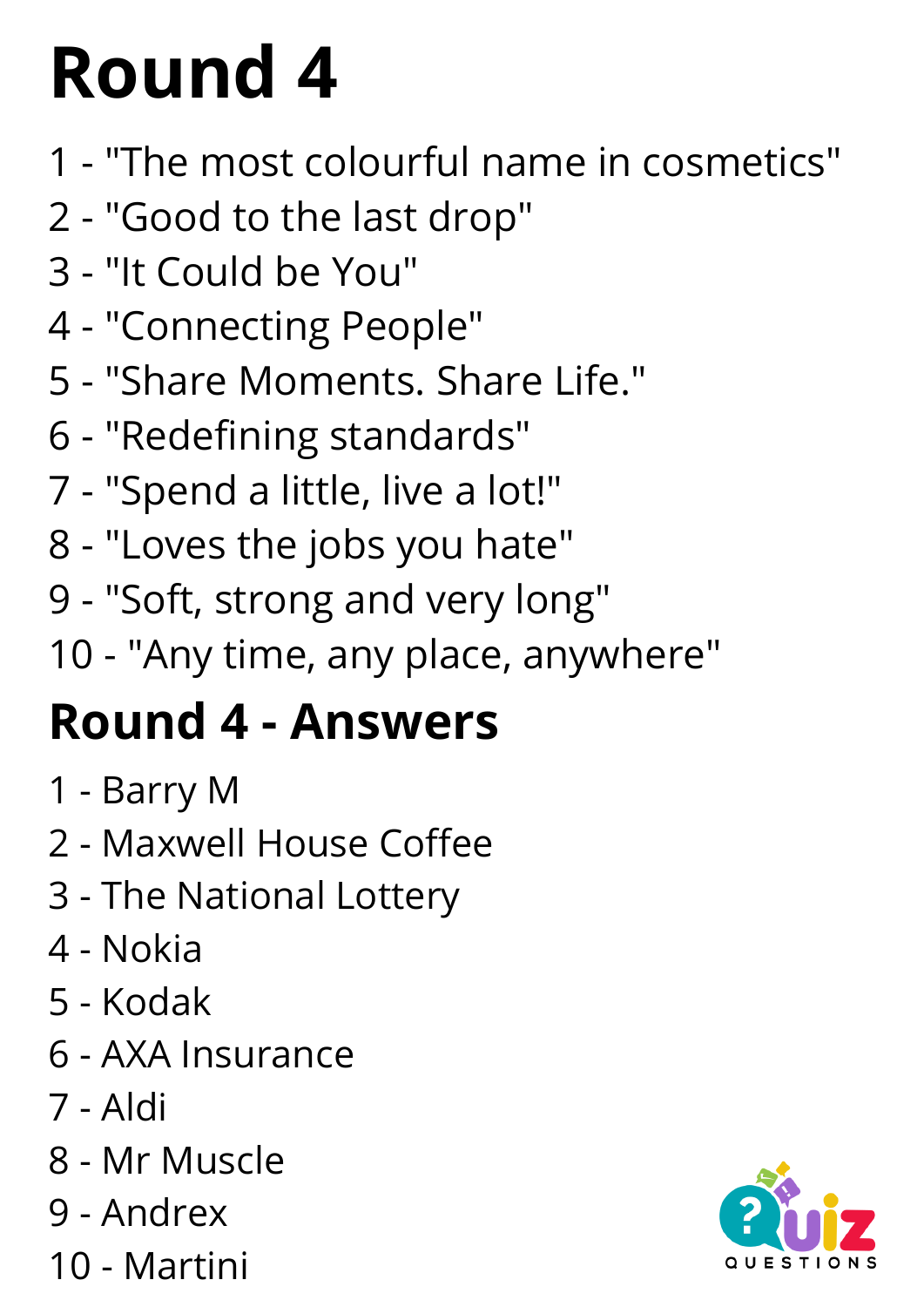- "The most colourful name in cosmetics"
- "Good to the last drop"
- "It Could be You"
- "Connecting People"
- "Share Moments. Share Life."
- "Redefining standards"
- "Spend a little, live a lot!"
- "Loves the jobs you hate"
- "Soft, strong and very long"
- "Any time, any place, anywhere"

#### **Round 4 - Answers**

- Barry M
- Maxwell House Coffee
- The National Lottery
- Nokia
- Kodak
- AXA Insurance
- Aldi
- Mr Muscle
- Andrex
- Martini